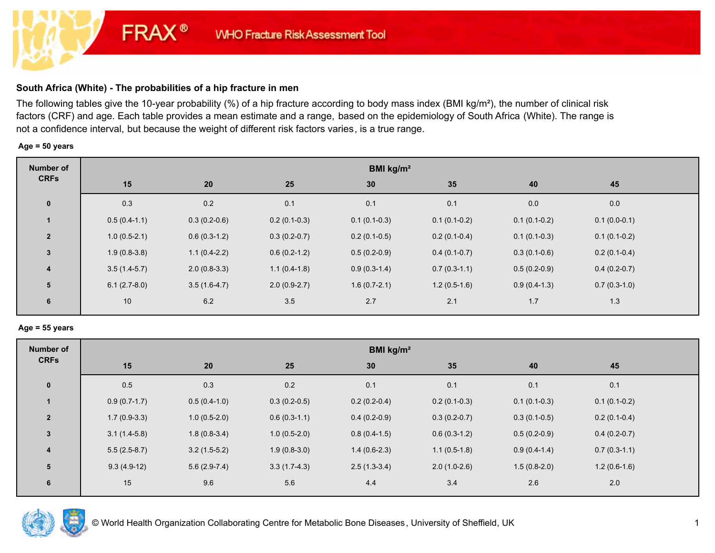# **South Africa (White) - The probabilities of a hip fracture in men**

**FRAX®** 

The following tables give the 10-year probability (%) of a hip fracture according to body mass index (BMI kg/m²), the number of clinical risk factors (CRF) and age. Each table provides a mean estimate and a range, based on the epidemiology of South Africa (White). The range is not a confidence interval, but because the weight of different risk factors varies, is a true range.

#### **Age = 50 years**

| <b>Number of</b> | BMI $kg/m2$    |                |                |                |                |                |                |  |  |
|------------------|----------------|----------------|----------------|----------------|----------------|----------------|----------------|--|--|
| <b>CRFs</b>      | 15             | 20             | 25             | 30             | 35             | 40             | 45             |  |  |
| $\mathbf 0$      | 0.3            | 0.2            | 0.1            | 0.1            | 0.1            | 0.0            | 0.0            |  |  |
|                  | $0.5(0.4-1.1)$ | $0.3(0.2-0.6)$ | $0.2(0.1-0.3)$ | $0.1(0.1-0.3)$ | $0.1(0.1-0.2)$ | $0.1(0.1-0.2)$ | $0.1(0.0-0.1)$ |  |  |
| $\overline{2}$   | $1.0(0.5-2.1)$ | $0.6(0.3-1.2)$ | $0.3(0.2-0.7)$ | $0.2(0.1-0.5)$ | $0.2(0.1-0.4)$ | $0.1(0.1-0.3)$ | $0.1(0.1-0.2)$ |  |  |
| $\mathbf{3}$     | $1.9(0.8-3.8)$ | $1.1(0.4-2.2)$ | $0.6(0.2-1.2)$ | $0.5(0.2-0.9)$ | $0.4(0.1-0.7)$ | $0.3(0.1-0.6)$ | $0.2(0.1-0.4)$ |  |  |
| $\overline{4}$   | $3.5(1.4-5.7)$ | $2.0(0.8-3.3)$ | $1.1(0.4-1.8)$ | $0.9(0.3-1.4)$ | $0.7(0.3-1.1)$ | $0.5(0.2-0.9)$ | $0.4(0.2-0.7)$ |  |  |
| 5                | $6.1(2.7-8.0)$ | $3.5(1.6-4.7)$ | $2.0(0.9-2.7)$ | $1.6(0.7-2.1)$ | $1.2(0.5-1.6)$ | $0.9(0.4-1.3)$ | $0.7(0.3-1.0)$ |  |  |
| 6                | 10             | 6.2            | 3.5            | 2.7            | 2.1            | 1.7            | 1.3            |  |  |

#### **Age = 55 years**

| Number of      | BMI $kg/m2$    |                |                |                |                |                |                |  |
|----------------|----------------|----------------|----------------|----------------|----------------|----------------|----------------|--|
| <b>CRFs</b>    | 15             | 20             | 25             | 30             | 35             | 40             | 45             |  |
| $\pmb{0}$      | 0.5            | 0.3            | 0.2            | 0.1            | 0.1            | 0.1            | 0.1            |  |
|                | $0.9(0.7-1.7)$ | $0.5(0.4-1.0)$ | $0.3(0.2-0.5)$ | $0.2(0.2-0.4)$ | $0.2(0.1-0.3)$ | $0.1(0.1-0.3)$ | $0.1(0.1-0.2)$ |  |
| $\overline{2}$ | $1.7(0.9-3.3)$ | $1.0(0.5-2.0)$ | $0.6(0.3-1.1)$ | $0.4(0.2-0.9)$ | $0.3(0.2-0.7)$ | $0.3(0.1-0.5)$ | $0.2(0.1-0.4)$ |  |
| 3              | $3.1(1.4-5.8)$ | $1.8(0.8-3.4)$ | $1.0(0.5-2.0)$ | $0.8(0.4-1.5)$ | $0.6(0.3-1.2)$ | $0.5(0.2-0.9)$ | $0.4(0.2-0.7)$ |  |
| 4              | $5.5(2.5-8.7)$ | $3.2(1.5-5.2)$ | $1.9(0.8-3.0)$ | $1.4(0.6-2.3)$ | $1.1(0.5-1.8)$ | $0.9(0.4-1.4)$ | $0.7(0.3-1.1)$ |  |
| 5              | $9.3(4.9-12)$  | $5.6(2.9-7.4)$ | $3.3(1.7-4.3)$ | $2.5(1.3-3.4)$ | $2.0(1.0-2.6)$ | $1.5(0.8-2.0)$ | $1.2(0.6-1.6)$ |  |
| 6              | 15             | 9.6            | 5.6            | 4.4            | 3.4            | 2.6            | 2.0            |  |

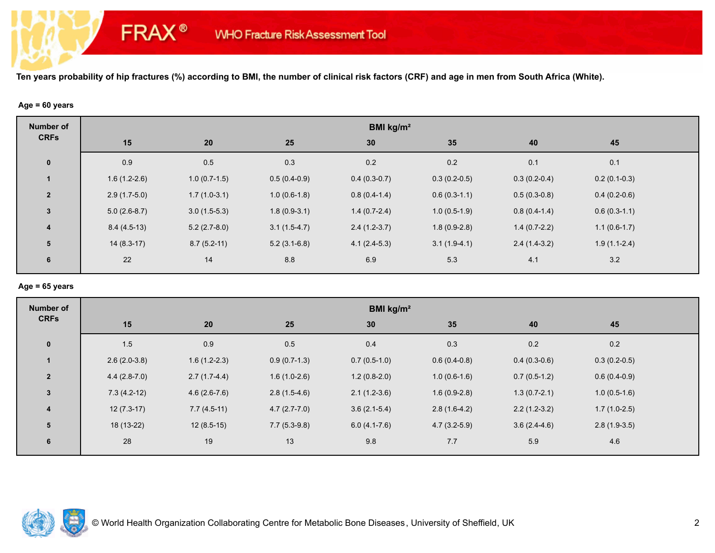### **Age = 60 years**

**FRAX®** 

| <b>Number of</b>        | BMI kg/m <sup>2</sup> |                |                |                |                |                |                |  |  |
|-------------------------|-----------------------|----------------|----------------|----------------|----------------|----------------|----------------|--|--|
| <b>CRFs</b>             | 15                    | 20             | 25             | 30             | 35             | 40             | 45             |  |  |
| $\mathbf 0$             | 0.9                   | 0.5            | 0.3            | 0.2            | 0.2            | 0.1            | 0.1            |  |  |
|                         | $1.6(1.2-2.6)$        | $1.0(0.7-1.5)$ | $0.5(0.4-0.9)$ | $0.4(0.3-0.7)$ | $0.3(0.2-0.5)$ | $0.3(0.2-0.4)$ | $0.2(0.1-0.3)$ |  |  |
| $\overline{2}$          | $2.9(1.7-5.0)$        | $1.7(1.0-3.1)$ | $1.0(0.6-1.8)$ | $0.8(0.4-1.4)$ | $0.6(0.3-1.1)$ | $0.5(0.3-0.8)$ | $0.4(0.2-0.6)$ |  |  |
| 3                       | $5.0(2.6-8.7)$        | $3.0(1.5-5.3)$ | $1.8(0.9-3.1)$ | $1.4(0.7-2.4)$ | $1.0(0.5-1.9)$ | $0.8(0.4-1.4)$ | $0.6(0.3-1.1)$ |  |  |
| $\overline{\mathbf{4}}$ | $8.4(4.5-13)$         | $5.2(2.7-8.0)$ | $3.1(1.5-4.7)$ | $2.4(1.2-3.7)$ | $1.8(0.9-2.8)$ | $1.4(0.7-2.2)$ | $1.1(0.6-1.7)$ |  |  |
| 5                       | $14(8.3-17)$          | $8.7(5.2-11)$  | $5.2(3.1-6.8)$ | $4.1(2.4-5.3)$ | $3.1(1.9-4.1)$ | $2.4(1.4-3.2)$ | $1.9(1.1-2.4)$ |  |  |
| 6                       | 22                    | 14             | 8.8            | 6.9            | 5.3            | 4.1            | 3.2            |  |  |

### **Age = 65 years**

| <b>Number of</b> | BMI kg/m <sup>2</sup> |                |                |                |                |                |                |  |
|------------------|-----------------------|----------------|----------------|----------------|----------------|----------------|----------------|--|
| <b>CRFs</b>      | 15                    | 20             | 25             | 30             | 35             | 40             | 45             |  |
| $\bf{0}$         | 1.5                   | 0.9            | 0.5            | 0.4            | 0.3            | 0.2            | 0.2            |  |
| $\mathbf{1}$     | $2.6(2.0-3.8)$        | $1.6(1.2-2.3)$ | $0.9(0.7-1.3)$ | $0.7(0.5-1.0)$ | $0.6(0.4-0.8)$ | $0.4(0.3-0.6)$ | $0.3(0.2-0.5)$ |  |
| $\overline{2}$   | $4.4(2.8-7.0)$        | $2.7(1.7-4.4)$ | $1.6(1.0-2.6)$ | $1.2(0.8-2.0)$ | $1.0(0.6-1.6)$ | $0.7(0.5-1.2)$ | $0.6(0.4-0.9)$ |  |
| $\mathbf{3}$     | $7.3(4.2-12)$         | $4.6(2.6-7.6)$ | $2.8(1.5-4.6)$ | $2.1(1.2-3.6)$ | $1.6(0.9-2.8)$ | $1.3(0.7-2.1)$ | $1.0(0.5-1.6)$ |  |
| $\overline{4}$   | $12(7.3-17)$          | $7.7(4.5-11)$  | $4.7(2.7-7.0)$ | $3.6(2.1-5.4)$ | $2.8(1.6-4.2)$ | $2.2(1.2-3.2)$ | $1.7(1.0-2.5)$ |  |
| 5                | 18 (13-22)            | $12(8.5-15)$   | $7.7(5.3-9.8)$ | $6.0(4.1-7.6)$ | $4.7(3.2-5.9)$ | $3.6(2.4-4.6)$ | $2.8(1.9-3.5)$ |  |
| 6                | 28                    | 19             | 13             | 9.8            | 7.7            | 5.9            | 4.6            |  |

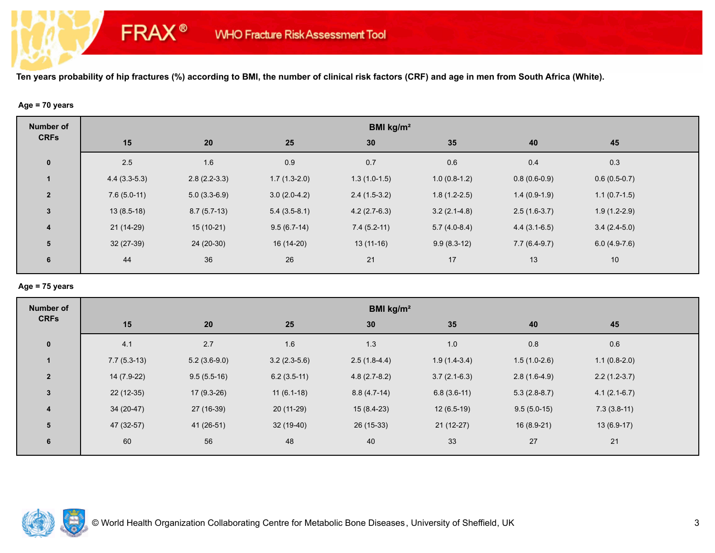### **Age = 70 years**

**FRAX®** 

| <b>Number of</b>        | BMI kg/m <sup>2</sup> |                |                |                |                |                |                |  |
|-------------------------|-----------------------|----------------|----------------|----------------|----------------|----------------|----------------|--|
| <b>CRFs</b>             | 15                    | 20             | 25             | 30             | 35             | 40             | 45             |  |
| $\pmb{0}$               | 2.5                   | 1.6            | 0.9            | 0.7            | 0.6            | 0.4            | 0.3            |  |
|                         | $4.4(3.3-5.3)$        | $2.8(2.2-3.3)$ | $1.7(1.3-2.0)$ | $1.3(1.0-1.5)$ | $1.0(0.8-1.2)$ | $0.8(0.6-0.9)$ | $0.6(0.5-0.7)$ |  |
| $\overline{2}$          | $7.6(5.0-11)$         | $5.0(3.3-6.9)$ | $3.0(2.0-4.2)$ | $2.4(1.5-3.2)$ | $1.8(1.2-2.5)$ | $1.4(0.9-1.9)$ | $1.1(0.7-1.5)$ |  |
| $\mathbf{3}$            | $13(8.5-18)$          | $8.7(5.7-13)$  | $5.4(3.5-8.1)$ | $4.2(2.7-6.3)$ | $3.2(2.1-4.8)$ | $2.5(1.6-3.7)$ | $1.9(1.2-2.9)$ |  |
| $\overline{\mathbf{4}}$ | $21(14-29)$           | $15(10-21)$    | $9.5(6.7-14)$  | $7.4(5.2-11)$  | $5.7(4.0-8.4)$ | $4.4(3.1-6.5)$ | $3.4(2.4-5.0)$ |  |
| 5                       | 32 (27-39)            | 24 (20-30)     | 16 (14-20)     | $13(11-16)$    | $9.9(8.3-12)$  | $7.7(6.4-9.7)$ | $6.0(4.9-7.6)$ |  |
| 6                       | 44                    | 36             | 26             | 21             | 17             | 13             | 10             |  |
|                         |                       |                |                |                |                |                |                |  |

### **Age = 75 years**

| <b>Number of</b> | BMI kg/m <sup>2</sup> |                |                |                |                |                |                |  |  |
|------------------|-----------------------|----------------|----------------|----------------|----------------|----------------|----------------|--|--|
| <b>CRFs</b>      | 15                    | 20             | 25             | 30             | 35             | 40             | 45             |  |  |
| $\mathbf 0$      | 4.1                   | 2.7            | 1.6            | 1.3            | 1.0            | 0.8            | 0.6            |  |  |
|                  | $7.7(5.3-13)$         | $5.2(3.6-9.0)$ | $3.2(2.3-5.6)$ | $2.5(1.8-4.4)$ | $1.9(1.4-3.4)$ | $1.5(1.0-2.6)$ | $1.1(0.8-2.0)$ |  |  |
| $\overline{2}$   | 14 (7.9-22)           | $9.5(5.5-16)$  | $6.2(3.5-11)$  | $4.8(2.7-8.2)$ | $3.7(2.1-6.3)$ | $2.8(1.6-4.9)$ | $2.2(1.2-3.7)$ |  |  |
| $\mathbf{3}$     | $22(12-35)$           | $17(9.3-26)$   | $11(6.1-18)$   | $8.8(4.7-14)$  | $6.8(3.6-11)$  | $5.3(2.8-8.7)$ | $4.1(2.1-6.7)$ |  |  |
| $\overline{4}$   | $34(20-47)$           | 27 (16-39)     | $20(11-29)$    | $15(8.4-23)$   | $12(6.5-19)$   | $9.5(5.0-15)$  | $7.3(3.8-11)$  |  |  |
| 5                | 47 (32-57)            | 41 (26-51)     | 32 (19-40)     | 26 (15-33)     | $21(12-27)$    | $16(8.9-21)$   | $13(6.9-17)$   |  |  |
| 6                | 60                    | 56             | 48             | 40             | 33             | 27             | 21             |  |  |

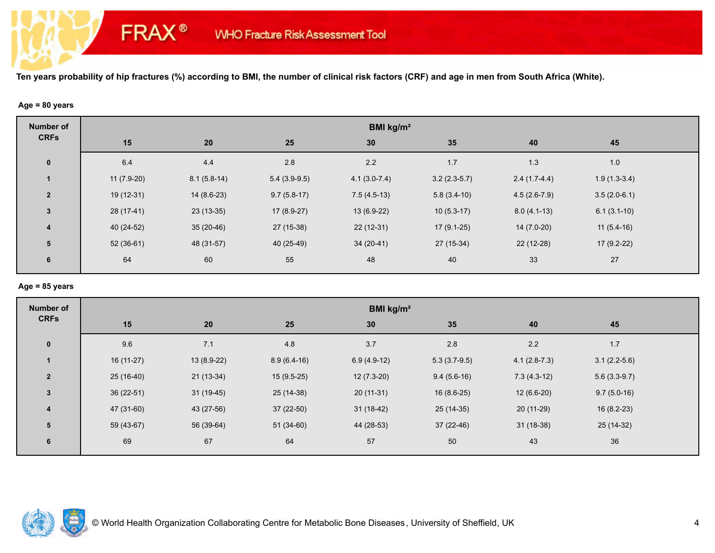#### **Age = 80 years**

**FRAX®** 

| <b>Number of</b>        | BMI kg/m <sup>2</sup> |               |                |                |                |                |                |  |  |
|-------------------------|-----------------------|---------------|----------------|----------------|----------------|----------------|----------------|--|--|
| <b>CRFs</b>             | 15                    | 20            | 25             | 30             | 35             | 40             | 45             |  |  |
| $\mathbf 0$             | 6.4                   | 4.4           | 2.8            | 2.2            | 1.7            | 1.3            | 1.0            |  |  |
| $\mathbf{1}$            | $11(7.9-20)$          | $8.1(5.8-14)$ | $5.4(3.9-9.5)$ | $4.1(3.0-7.4)$ | $3.2(2.3-5.7)$ | $2.4(1.7-4.4)$ | $1.9(1.3-3.4)$ |  |  |
| $\overline{2}$          | 19 (12-31)            | $14(8.6-23)$  | $9.7(5.8-17)$  | $7.5(4.5-13)$  | $5.8(3.4-10)$  | $4.5(2.6-7.9)$ | $3.5(2.0-6.1)$ |  |  |
| $\mathbf{3}$            | 28 (17-41)            | $23(13-35)$   | $17(8.9-27)$   | $13(6.9-22)$   | $10(5.3-17)$   | $8.0(4.1-13)$  | $6.1(3.1-10)$  |  |  |
| $\overline{\mathbf{4}}$ | $40(24-52)$           | $35(20-46)$   | $27(15-38)$    | $22(12-31)$    | $17(9.1-25)$   | $14(7.0-20)$   | $11(5.4-16)$   |  |  |
| 5                       | $52(36-61)$           | 48 (31-57)    | 40 (25-49)     | $34(20-41)$    | 27 (15-34)     | $22(12-28)$    | $17(9.2-22)$   |  |  |
| 6                       | 64                    | 60            | 55             | 48             | 40             | 33             | 27             |  |  |

# **Age = 85 years**

| <b>Number of</b> | BMI kg/m <sup>2</sup> |             |               |               |                |                |                |  |
|------------------|-----------------------|-------------|---------------|---------------|----------------|----------------|----------------|--|
| <b>CRFs</b>      | 15                    | 20          | 25            | 30            | 35             | 40             | 45             |  |
| $\mathbf{0}$     | 9.6                   | 7.1         | 4.8           | 3.7           | $2.8$          | 2.2            | 1.7            |  |
| $\mathbf{1}$     | $16(11-27)$           | 13 (8.9-22) | $8.9(6.4-16)$ | $6.9(4.9-12)$ | $5.3(3.7-9.5)$ | $4.1(2.8-7.3)$ | $3.1(2.2-5.6)$ |  |
| $\overline{2}$   | $25(16-40)$           | $21(13-34)$ | $15(9.5-25)$  | $12(7.3-20)$  | $9.4(5.6-16)$  | $7.3(4.3-12)$  | $5.6(3.3-9.7)$ |  |
| $\mathbf{3}$     | 36 (22-51)            | $31(19-45)$ | $25(14-38)$   | $20(11-31)$   | $16(8.6-25)$   | $12(6.6-20)$   | $9.7(5.0-16)$  |  |
| $\boldsymbol{4}$ | 47 (31-60)            | 43 (27-56)  | 37 (22-50)    | $31(18-42)$   | $25(14-35)$    | $20(11-29)$    | $16(8.2-23)$   |  |
| 5                | 59 (43-67)            | 56 (39-64)  | $51(34-60)$   | 44 (28-53)    | 37 (22-46)     | $31(18-38)$    | 25 (14-32)     |  |
| 6                | 69                    | 67          | 64            | 57            | 50             | 43             | 36             |  |